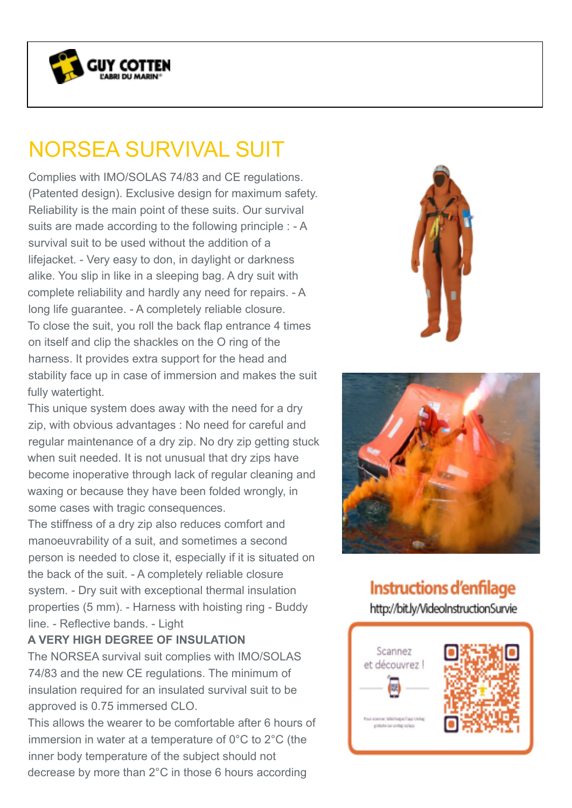

## NORSEA SURVIVAL SUIT

Complies with IMO/SOLAS 74/83 and CE regulations. (Patented design). Exclusive design for maximum safety. Reliability is the main point of these suits. Our survival suits are made according to the following principle : - A survival suit to be used without the addition of a lifejacket. - Very easy to don, in daylight or darkness alike. You slip in like in a sleeping bag. A dry suit with complete reliability and hardly any need for repairs. - A long life guarantee. - A completely reliable closure. To close the suit, you roll the back flap entrance 4 times on itself and clip the shackles on the O ring of the harness. It provides extra support for the head and stability face up in case of immersion and makes the suit fully watertight.

This unique system does away with the need for a dry zip, with obvious advantages : No need for careful and regular maintenance of a dry zip. No dry zip getting stuck when suit needed. It is not unusual that dry zips have become inoperative through lack of regular cleaning and waxing or because they have been folded wrongly, in some cases with tragic consequences.

The stiffness of a dry zip also reduces comfort and manoeuvrability of a suit, and sometimes a second person is needed to close it, especially if it is situated on the back of the suit. - A completely reliable closure system. - Dry suit with exceptional thermal insulation properties (5 mm). - Harness with hoisting ring - Buddy line. - Reflective bands. - Light

## **A VERY HIGH DEGREE OF INSULATION**

The NORSEA survival suit complies with IMO/SOLAS 74/83 and the new CE regulations. The minimum of insulation required for an insulated survival suit to be approved is 0.75 immersed CLO.

This allows the wearer to be comfortable after 6 hours of immersion in water at a temperature of 0°C to 2°C (the inner body temperature of the subject should not decrease by more than 2°C in those 6 hours according





**Instructions d'enfilage** http://bit.ly/VideoInstructionSurvie

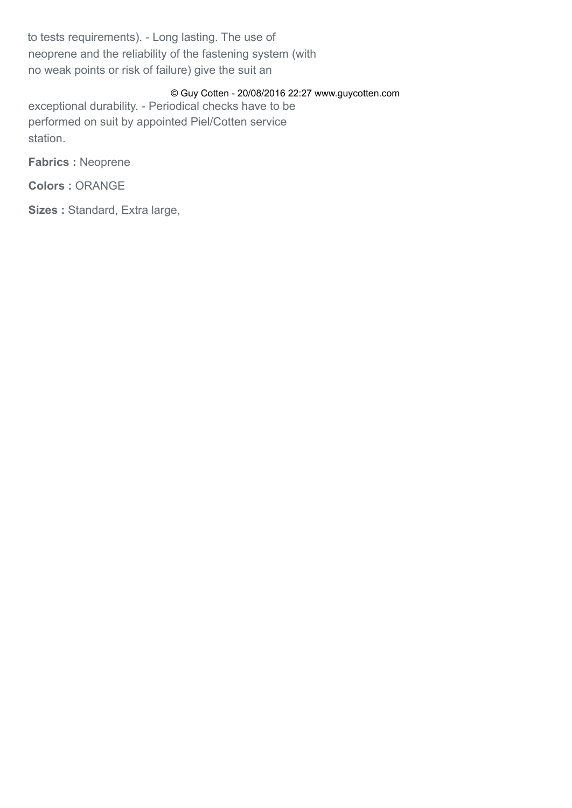to tests requirements). - Long lasting. The use of neoprene and the reliability of the fastening system (with no weak points or risk of failure) give the suit an

## © Guy Cotten - 20/08/2016 22:27 www.guycotten.com

exceptional durability. - Periodical checks have to be performed on suit by appointed Piel/Cotten service station.

**Fabrics :** Neoprene

**Colors :** ORANGE

**Sizes :** Standard, Extra large,